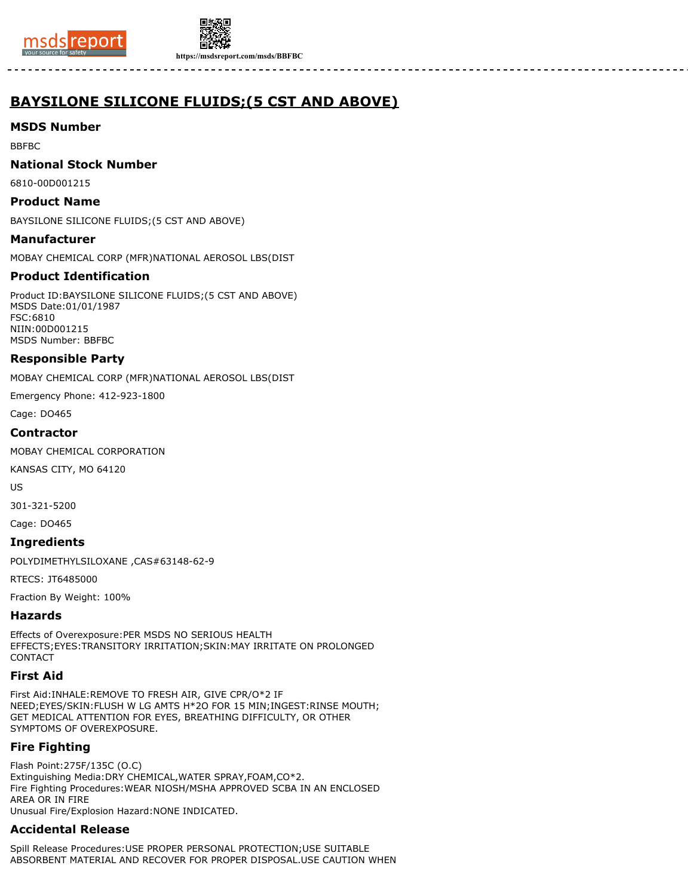



# **BAYSILONE SILICONE FLUIDS;(5 CST AND ABOVE)**

# **MSDS Number**

BBFBC

#### **National Stock Number**

6810-00D001215

#### **Product Name**

BAYSILONE SILICONE FLUIDS;(5 CST AND ABOVE)

#### **Manufacturer**

MOBAY CHEMICAL CORP (MFR)NATIONAL AEROSOL LBS(DIST

# **Product Identification**

Product ID:BAYSILONE SILICONE FLUIDS;(5 CST AND ABOVE) MSDS Date:01/01/1987 FSC:6810 NIIN:00D001215 MSDS Number: BBFBC

#### **Responsible Party**

MOBAY CHEMICAL CORP (MFR)NATIONAL AEROSOL LBS(DIST

Emergency Phone: 412-923-1800

Cage: DO465

#### **Contractor**

MOBAY CHEMICAL CORPORATION

KANSAS CITY, MO 64120

US

301-321-5200

Cage: DO465

#### **Ingredients**

POLYDIMETHYLSILOXANE ,CAS#63148-62-9

RTECS: JT6485000

Fraction By Weight: 100%

# **Hazards**

Effects of Overexposure:PER MSDS NO SERIOUS HEALTH EFFECTS;EYES:TRANSITORY IRRITATION;SKIN:MAY IRRITATE ON PROLONGED CONTACT

# **First Aid**

First Aid:INHALE:REMOVE TO FRESH AIR, GIVE CPR/O\*2 IF NEED;EYES/SKIN:FLUSH W LG AMTS H\*2O FOR 15 MIN;INGEST:RINSE MOUTH; GET MEDICAL ATTENTION FOR EYES, BREATHING DIFFICULTY, OR OTHER SYMPTOMS OF OVEREXPOSURE.

# **Fire Fighting**

Flash Point:275F/135C (O.C) Extinguishing Media:DRY CHEMICAL,WATER SPRAY,FOAM,CO\*2. Fire Fighting Procedures:WEAR NIOSH/MSHA APPROVED SCBA IN AN ENCLOSED AREA OR IN FIRE Unusual Fire/Explosion Hazard:NONE INDICATED.

# **Accidental Release**

Spill Release Procedures:USE PROPER PERSONAL PROTECTION;USE SUITABLE ABSORBENT MATERIAL AND RECOVER FOR PROPER DISPOSAL.USE CAUTION WHEN